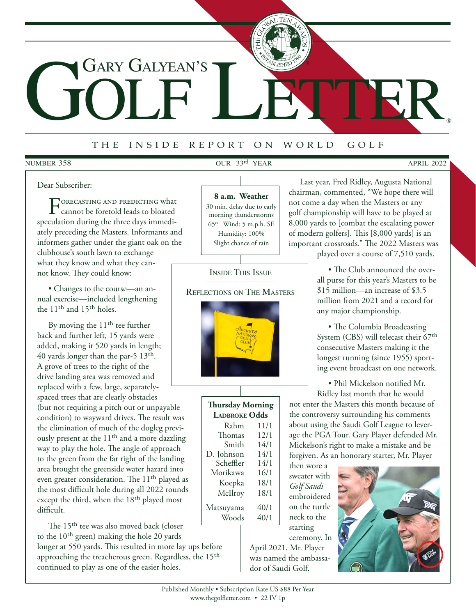# GOLF LETTER Gary Galyean's

# <sup>t</sup> <sup>h</sup> e i <sup>n</sup> <sup>s</sup> <sup>i</sup> <sup>d</sup> e r <sup>e</sup> <sup>p</sup> <sup>o</sup> <sup>r</sup> t o n w <sup>o</sup> <sup>r</sup> <sup>l</sup> d g <sup>o</sup> <sup>l</sup> <sup>f</sup>

#### **NUMBER 358**

# number 358 our 33<sup>rd</sup> YEAR APRIL 2022

**®**

#### Dear Subscriber:

Forecasting and predicting what cannot be foretold leads to bloated speculation during the three days immediately preceding the Masters. Informants and informers gather under the giant oak on the clubhouse's south lawn to exchange what they know and what they cannot know. They could know:

• Changes to the course—an annual exercise—included lengthening the 11th and 15th holes.

By moving the 11<sup>th</sup> tee further back and further left, 15 yards were added, making it 520 yards in length; 40 yards longer than the par-5  $13<sup>th</sup>$ . A grove of trees to the right of the drive landing area was removed and replaced with a few, large, separately-

spaced trees that are clearly obstacles (but not requiring a pitch out or unpayable condition) to wayward drives. The result was the elimination of much of the dogleg previously present at the 11<sup>th</sup> and a more dazzling way to play the hole. The angle of approach to the green from the far right of the landing area brought the greenside water hazard into even greater consideration. The 11<sup>th</sup> played as the most difficult hole during all 2022 rounds except the third, when the 18<sup>th</sup> played most difficult.

The 15<sup>th</sup> tee was also moved back (closer to the 10th green) making the hole 20 yards longer at 550 yards. This resulted in more lay ups before approaching the treacherous green. Regardless, the 15th continued to play as one of the easier holes.

**8 a.m. Weather** 30 min. delay due to early morning thunderstorms  $65^{\circ}$  Wind: 5 m.p.h. SE Humidity: 100% Slight chance of rain

Inside This Issue

Reflections on The Masters

Last year, Fred Ridley, Augusta National chairman, commented, "We hope there will not come a day when the Masters or any golf championship will have to be played at 8,000 yards to [combat the escalating power of modern golfers]. This [8,000 yards] is an important crossroads." The 2022 Masters was

played over a course of 7,510 yards.

• The Club announced the overall purse for this year's Masters to be \$15 million—an increase of \$3.5 million from 2021 and a record for any major championship.

• The Columbia Broadcasting System (CBS) will telecast their 67<sup>th</sup> consecutive Masters making it the longest running (since 1955) sporting event broadcast on one network.

• Phil Mickelson notified Mr. Ridley last month that he would

not enter the Masters this month because of the controversy surrounding his comments about using the Saudi Golf League to leverage the PGA Tour. Gary Player defended Mr. Mickelson's right to make a mistake and be forgiven. As an honorary starter, Mr. Player

then wore a sweater with *Golf Saudi* embroidered on the turtle neck to the starting ceremony. In

April 2021, Mr. Player was named the ambassador of Saudi Golf.



**Thursday Morning Ladbroke Odds**

Morikawa

Rahm 11/1<br>homas 12/1 Thomas  $12/1$ <br>Smith  $14/1$ Smith 14/1<br>hnson 14/1 D. Johnson 14/1 Scheffler 14/1<br>Morikawa 16/1

Koepka 18/1 McIlroy 18/1 Matsuyama 40/1 Woods  $40/1$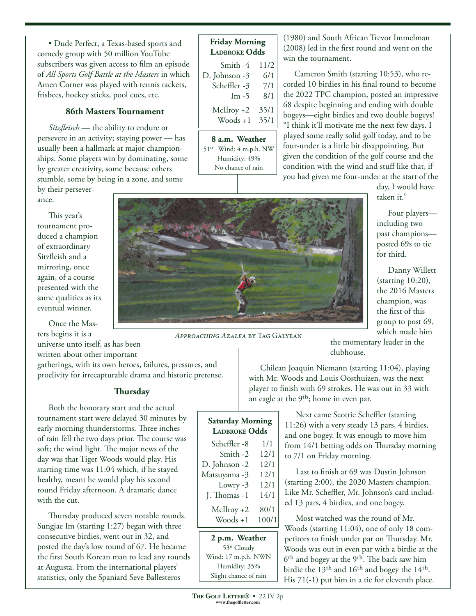• Dude Perfect, a Texas-based sports and comedy group with 50 million YouTube subscribers was given access to film an episode of *All Sports Golf Battle at the Masters* in which Amen Corner was played with tennis rackets, frisbees, hockey sticks, pool cues, etc.

### **86th Masters Tournament**

*Sitzfleisch* — the ability to endure or persevere in an activity; staying power — has usually been a hallmark at major championships. Some players win by dominating, some by greater creativity, some because others stumble, some by being in a zone, and some by their persever-

#### ance.

This year's tournament produced a champion of extraordinary Sitzfleish and a mirroring, once again, of a course presented with the same qualities as its eventual winner.

Once the Masters begins it is a

universe unto itself, as has been written about other important

gatherings, with its own heroes, failures, pressures, and proclivity for irrecapturable drama and historic pretense.

# **Thursday**

Both the honorary start and the actual tournament start were delayed 30 minutes by early morning thunderstorms. Three inches of rain fell the two days prior. The course was soft; the wind light. The major news of the day was that Tiger Woods would play. His starting time was 11:04 which, if he stayed healthy, meant he would play his second round Friday afternoon. A dramatic dance with the cut.

Thursday produced seven notable rounds. Sungjae Im (starting 1:27) began with three consecutive birdies, went out in 32, and posted the day's low round of 67. He became the first South Korean man to lead any rounds at Augusta. From the international players' statistics, only the Spaniard Seve Ballesteros

# **Friday Morning Ladbroke Odds** Smith -4 11/2

| D. Johnson -3 | 6/1  |
|---------------|------|
| Scheffler -3  | 7/1  |
| $Im -5$       | 8/1  |
| $McIlroy + 2$ | 35/1 |
| $Woods + 1$   | 35/1 |

**8 a.m. Weather** 51o Wind: 4 m.p.h. NW Humidity: 49% No chance of rain

(1980) and South African Trevor Immelman (2008) led in the first round and went on the win the tournament.

Cameron Smith (starting 10:53), who recorded 10 birdies in his final round to become the 2022 TPC champion, posted an impressive 68 despite beginning and ending with double bogeys—eight birdies and two double bogeys! "I think it'll motivate me the next few days. I played some really solid golf today, and to be four-under is a little bit disappointing. But given the condition of the golf course and the condition with the wind and stuff like that, if you had given me four-under at the start of the

> day, I would have taken it."

Four players including two past champions posted 69s to tie for third.

Danny Willett (starting 10:20), the 2016 Masters champion, was the first of this group to post 69, which made him

*Approaching Azalea* by Tag Galyean

**Saturday Morning LADBROKE** Odds Scheffler -8 1/1 Smith -2 12/1 D. Johnson -2 12/1 Matsuyama -3 12/1 Lowry -3 12/1 J. Thomas -1 14/1  $McIlroy + 2 80/1$  $\text{Woods} + 1 \quad 100/1$  the momentary leader in the clubhouse.

Chilean Joaquin Niemann (starting 11:04), playing with Mr. Woods and Louis Oosthuizen, was the next player to finish with 69 strokes. He was out in 33 with an eagle at the  $9<sup>th</sup>$ ; home in even par.

> Next came Scottie Scheffler (starting 11:26) with a very steady 13 pars, 4 birdies, and one bogey. It was enough to move him from 14/1 betting odds on Thursday morning to 7/1 on Friday morning.

Last to finish at 69 was Dustin Johnson (starting 2:00), the 2020 Masters champion. Like Mr. Scheffler, Mr. Johnson's card included 13 pars, 4 birdies, and one bogey.

Most watched was the round of Mr. Woods (starting 11:04), one of only 18 competitors to finish under par on Thursday. Mr. Woods was out in even par with a birdie at the 6<sup>th</sup> and bogey at the 9<sup>th</sup>. The back saw him birdie the  $13<sup>th</sup>$  and  $16<sup>th</sup>$  and bogey the  $14<sup>th</sup>$ . His 71(-1) put him in a tie for eleventh place.

**2 p.m. Weather** 53o Cloudy Wind: 17 m.p.h. NWN Humidity: 35% Slight chance of rain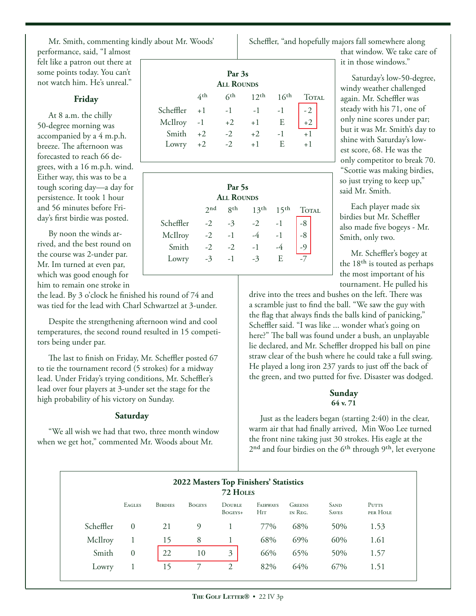Mr. Smith, commenting kindly about Mr. Woods' performance, said, "I almost felt like a patron out there at some points today. You can't not watch him. He's unreal."

#### **Friday**

At 8 a.m. the chilly 50-degree morning was accompanied by a 4 m.p.h. breeze. The afternoon was forecasted to reach 66 degrees, with a 16 m.p.h. wind. Either way, this was to be a tough scoring day—a day for persistence. It took 1 hour and 56 minutes before Friday's first birdie was posted.

By noon the winds arrived, and the best round on the course was 2-under par. Mr. Im turned at even par, which was good enough for him to remain one stroke in

the lead. By 3 o'clock he finished his round of 74 and was tied for the lead with Charl Schwartzel at 3-under.

Despite the strengthening afternoon wind and cool temperatures, the second round resulted in 15 competitors being under par.

The last to finish on Friday, Mr. Scheffler posted 67 to tie the tournament record (5 strokes) for a midway lead. Under Friday's trying conditions, Mr. Scheffler's lead over four players at 3-under set the stage for the high probability of his victory on Sunday.

# **Saturday**

"We all wish we had that two, three month window when we get hot," commented Mr. Woods about Mr.

| Par 3s<br><b>ALL ROUNDS</b> |      |                 |                  |                  |       |  |  |
|-----------------------------|------|-----------------|------------------|------------------|-------|--|--|
|                             | 4th  | 6 <sup>th</sup> | 12 <sup>th</sup> | 16 <sup>th</sup> | TOTAL |  |  |
| Scheffler                   | $+1$ | $-1$            | $-1$ $-1$        |                  |       |  |  |
| McIlroy                     | $-1$ | $+2$            | $+1$             | E                |       |  |  |
| Smith                       | $+2$ | $-2$            | $+2$             | $-1$             | $+1$  |  |  |
| Lowry                       | $+2$ | $-2$            | $+1$             | E                | $+1$  |  |  |

| Par <sub>5s</sub><br><b>ALL ROUNDS</b> |      |             |                  |                  |              |  |
|----------------------------------------|------|-------------|------------------|------------------|--------------|--|
|                                        | 2nd  | <b>g</b> th | 13 <sup>th</sup> | 15 <sup>th</sup> | <b>TOTAL</b> |  |
| Scheffler                              | $-2$ | $-3$        | $-2$ $-1$        |                  |              |  |
| McIlroy                                | $-2$ | $-1$        | $-4$             | $-1$             |              |  |
| Smith                                  | $-2$ | $-2$        | $-1$             |                  |              |  |
| Lowry                                  | $-3$ | $-1$        |                  | E                |              |  |
|                                        |      |             |                  |                  |              |  |

Scheffler, "and hopefully majors fall somewhere along that window. We take care of

> Saturday's low-50-degree, windy weather challenged again. Mr. Scheffler was steady with his 71, one of only nine scores under par; but it was Mr. Smith's day to shine with Saturday's lowest score, 68. He was the only competitor to break 70. "Scottie was making birdies, so just trying to keep up," said Mr. Smith.

it in those windows."

Each player made six birdies but Mr. Scheffler also made five bogeys - Mr. Smith, only two.

Mr. Scheffler's bogey at the 18th is touted as perhaps the most important of his tournament. He pulled his

drive into the trees and bushes on the left. There was a scramble just to find the ball. "We saw the guy with the flag that always finds the balls kind of panicking," Scheffler said. "I was like ... wonder what's going on here?" The ball was found under a bush, an unplayable lie declared, and Mr. Scheffler dropped his ball on pine straw clear of the bush where he could take a full swing. He played a long iron 237 yards to just off the back of the green, and two putted for five. Disaster was dodged.

# **Sunday 64 v. 71**

Just as the leaders began (starting 2:40) in the clear, warm air that had finally arrived, Min Woo Lee turned the front nine taking just 30 strokes. His eagle at the 2<sup>nd</sup> and four birdies on the 6<sup>th</sup> through 9<sup>th</sup>, let everyone

| 2022 Masters Top Finishers' Statistics<br>72 HOLES |               |                |               |                     |                        |                          |                             |                   |
|----------------------------------------------------|---------------|----------------|---------------|---------------------|------------------------|--------------------------|-----------------------------|-------------------|
|                                                    | <b>EAGLES</b> | <b>BIRDIES</b> | <b>BOGEYS</b> | DOUBLE<br>$BogEYS+$ | FAIRWAYS<br><b>HIT</b> | <b>GREENS</b><br>IN REG. | <b>SAND</b><br><b>SAVES</b> | PUTTS<br>PER HOLE |
| Scheffler                                          | $\Omega$      | 21             | 9             |                     | 77%                    | 68%                      | 50%                         | 1.53              |
| McIlroy                                            |               | 15             | 8             |                     | 68%                    | 69%                      | 60%                         | 1.61              |
| Smith                                              | $\theta$      | 22             | 10            | 3                   | 66%                    | 65%                      | 50%                         | 1.57              |
| Lowry                                              |               | 15             |               | 2                   | 82%                    | 64%                      | 67%                         | 1.51              |